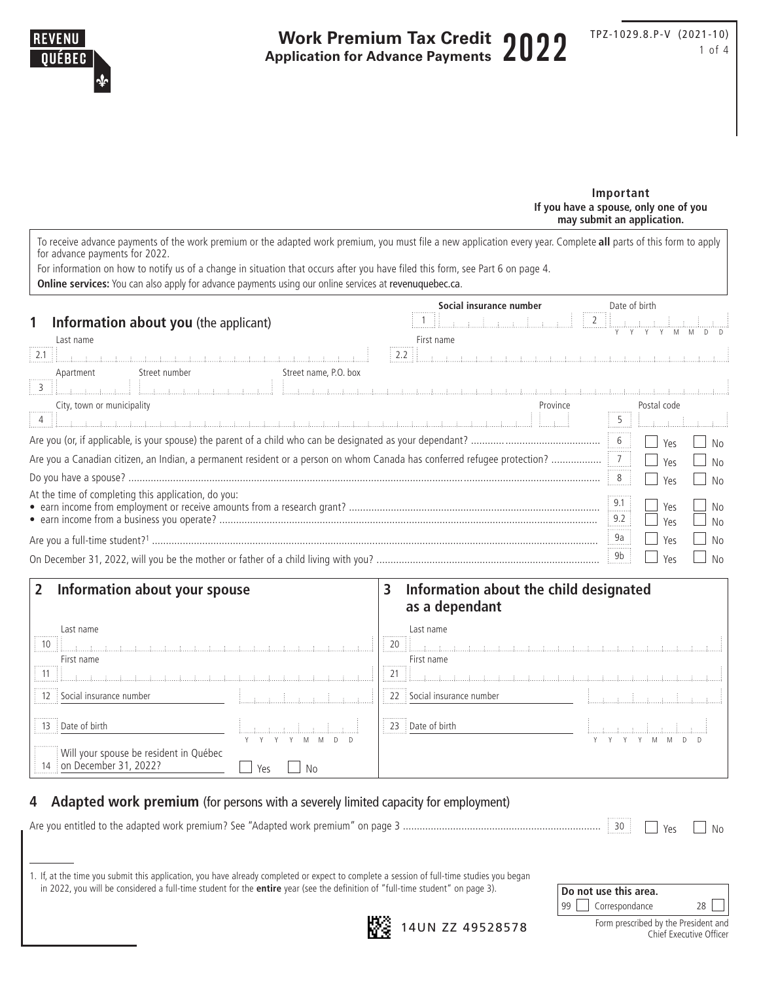

#### **Important If you have a spouse, only one of you may submit an application.**

To receive advance payments of the work premium or the adapted work premium, you must file a new application every year. Complete **all** parts of this form to apply for advance payments for 2022.

For information on how to notify us of a change in situation that occurs after you have filed this form, see Part 6 on page 4.

**Online services:** You can also apply for advance payments using our online services at [revenuquebec.ca](http://www.revenuquebec.ca).

|                                                                                                                          | Social insurance number | Date of birth                                                           |                |  |  |
|--------------------------------------------------------------------------------------------------------------------------|-------------------------|-------------------------------------------------------------------------|----------------|--|--|
| Information about you (the applicant)                                                                                    |                         |                                                                         |                |  |  |
| Last name                                                                                                                | First name              |                                                                         |                |  |  |
|                                                                                                                          |                         |                                                                         |                |  |  |
| Street number<br>Street name, P.O. box<br>Apartment                                                                      |                         |                                                                         |                |  |  |
| a kalendari kacamatan kana kana katika masa ya katika masa ya katika katika masa ya katika masa ya katika masa           |                         |                                                                         |                |  |  |
| City, town or municipality                                                                                               | Province                | Postal code                                                             |                |  |  |
|                                                                                                                          |                         | $\frac{1}{2}$ 5 $\frac{1}{2}$ $\frac{1}{2}$ $\frac{1}{2}$ $\frac{1}{2}$ |                |  |  |
|                                                                                                                          |                         | Yes                                                                     |                |  |  |
| Are you a Canadian citizen, an Indian, a permanent resident or a person on whom Canada has conferred refugee protection? |                         | .<br>Yes                                                                | N <sub>0</sub> |  |  |
|                                                                                                                          |                         | 8<br>Yes                                                                | N <sub>0</sub> |  |  |
| At the time of completing this application, do you:                                                                      |                         | 9.1<br>Yes<br>.<br>9.2                                                  | No             |  |  |
|                                                                                                                          |                         | Yes                                                                     | N <sub>0</sub> |  |  |
|                                                                                                                          |                         | 9a<br>Yes                                                               | N <sub>0</sub> |  |  |
|                                                                                                                          |                         | 9b<br>Yes                                                               | No             |  |  |

# **2 Information about your spouse 3 Information about the child designated as a dependant** Last name Last name 10 20 a a a a a a a a a a a a a a a

| .<br>First name                                                                                                                                                                                                                         |     | .<br>First name<br>.                       |  |
|-----------------------------------------------------------------------------------------------------------------------------------------------------------------------------------------------------------------------------------------|-----|--------------------------------------------|--|
| $\mathcal{A}$ and $\mathcal{A}$ are all the state of the state of the state of the state of the state of the state of the state of the state of the state of the state of the state of the state of the state of the state of the state |     | - 11                                       |  |
| $\left  \begin{array}{c} 1 \\ 1 \end{array} \right $ Social insurance number                                                                                                                                                            |     | $\frac{1}{2}$   22 Social insurance number |  |
| $\vert$ 13 Date of birth                                                                                                                                                                                                                |     | $\vert$ 23 Date of birth                   |  |
| .<br>Will your spouse be resident in Québec<br>14 on December 31, 2022?                                                                                                                                                                 | Yes |                                            |  |

# **4 Adapted work premium** (for persons with a severely limited capacity for employment)

Are you entitled to the adapted work premium? See "Adapted work premium" on page 3 ....................................................................... <sup>30</sup> Yes No

|  | 1. If, at the time you submit this application, you have already completed or expect to complete a session of full-time studies you began |
|--|-------------------------------------------------------------------------------------------------------------------------------------------|
|  | in 2022, you will be considered a full-time student for the <b>entire</b> year (see the definition of "full-time student" on page 3).     |

| Do not use this area.                                           |    |  |  |  |  |
|-----------------------------------------------------------------|----|--|--|--|--|
| 99   Correspondance                                             | 28 |  |  |  |  |
| Form prescribed by the President and<br>Chief Executive Officer |    |  |  |  |  |



**14UN ZZ 49528578**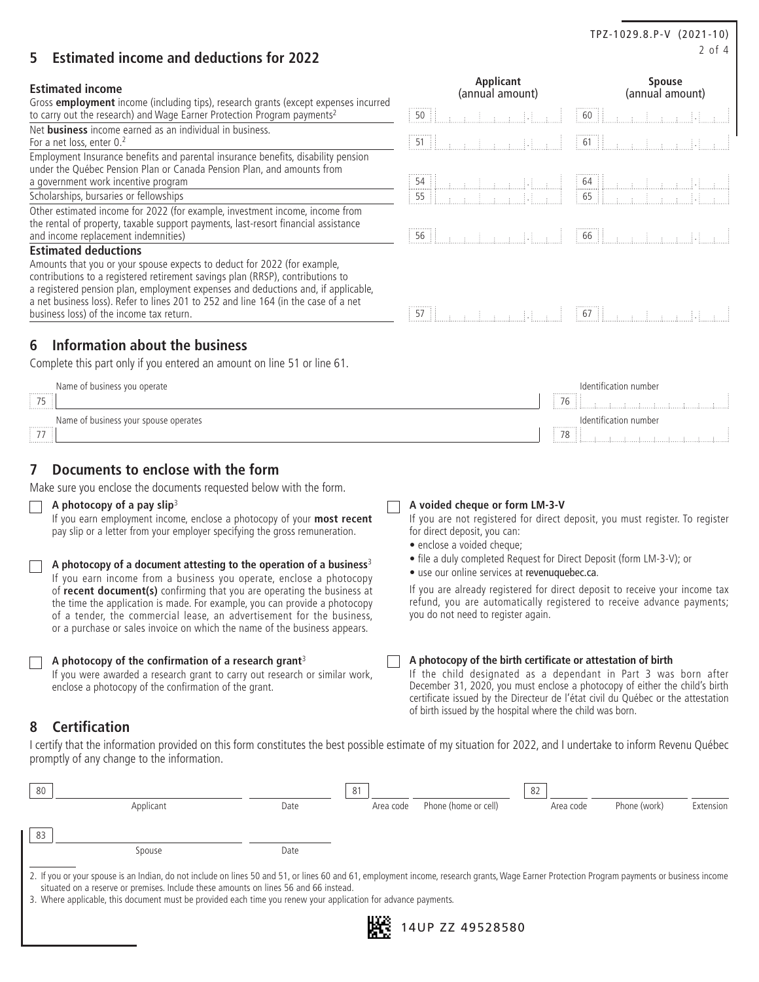# 2 of 4 **5 Estimated income and deductions for 2022**

# **Estimated income**

Gross **employment** income (including tips), research grants (except expenses incurred to carry out the research) and Wage Earner Protection Program payments<sup>2</sup>

Net **business** income earned as an individual in business. For a net loss, enter 0.<sup>2</sup> 61 **... 61 ... 61 ... 61** ... 61 ... 61 ... 61 ... 61 ... 61 ... 61 ... 61 ... 61 ... 61 ... 61 ... 61 ... 61 ... 61 ... 61 ... 61 ... 61 ... 61 ... 61 ... 61 ... 61 ... 61 ... 61 ... 61 ... 61

Employment Insurance benefits and parental insurance benefits, disability pension under the Québec Pension Plan or Canada Pension Plan, and amounts from a government work incentive program and the control of the control of the control of the control of the control of the control of the control of the control of the control of the control of the control of the control of th

Scholarships, bursaries or fellowships  $\begin{array}{ccc} 55 & 5 \\ 55 & 5 \end{array}$   $\begin{array}{ccc} 55 & 5 \\ 57 & 5 \end{array}$   $\begin{array}{ccc} 55 & 5 \\ 57 & 5 \end{array}$   $\begin{array}{ccc} 57 & 5 \\ 58 & 5 \end{array}$   $\begin{array}{ccc} 57 & 5 \\ 58 & 5 \end{array}$ 

Other estimated income for 2022 (for example, investment income, income from the rental of property, taxable support payments, last-resort financial assistance

#### **Estimated deductions**

Amounts that you or your spouse expects to deduct for 2022 (for example, contributions to a registered retirement savings plan (RRSP), contributions to a registered pension plan, employment expenses and deductions and, if applicable, a net business loss). Refer to lines 201 to 252 and line 164 (in the case of a net

# **6 Information about the business**

Complete this part only if you entered an amount on line 51 or line 61.

| Name of business you operate          | Identification number |
|---------------------------------------|-----------------------|
| .                                     |                       |
| $\frac{1}{2}$ 75<br>                  |                       |
| Name of business your spouse operates | Identification number |
|                                       |                       |
| $\rightarrow$ $\rightarrow$           | 78 :                  |
| .                                     |                       |

# **7 Documents to enclose with the form**

Make sure you enclose the documents requested below with the form.

#### **A photocopy of a pay slip**<sup>3</sup>

If you earn employment income, enclose a photocopy of your **most recent** pay slip or a letter from your employer specifying the gross remuneration.

|  |  |  | $\Box$ A photocopy of a document attesting to the operation of a business <sup>3</sup> |  |  |  |
|--|--|--|----------------------------------------------------------------------------------------|--|--|--|
|  |  |  | If you earn income from a business you operate, enclose a photocopy                    |  |  |  |

of **recent document(s)** confirming that you are operating the business at the time the application is made. For example, you can provide a photocopy of a tender, the commercial lease, an advertisement for the business, or a purchase or sales invoice on which the name of the business appears.

#### **A photocopy of the confirmation of a research grant**<sup>3</sup>

If you were awarded a research grant to carry out research or similar work, enclose a photocopy of the confirmation of the grant.

# **8 Certification**

I certify that the information provided on this form constitutes the best possible estimate of my situation for 2022, and I undertake to inform Revenu Québec promptly of any change to the information.

| 80 |                                                                                                                                                                                                                                                                                      |      | 81 |           |                      | 82 |           |              |           |
|----|--------------------------------------------------------------------------------------------------------------------------------------------------------------------------------------------------------------------------------------------------------------------------------------|------|----|-----------|----------------------|----|-----------|--------------|-----------|
|    | Applicant                                                                                                                                                                                                                                                                            | Date |    | Area code | Phone (home or cell) |    | Area code | Phone (work) | Extension |
| 83 |                                                                                                                                                                                                                                                                                      |      |    |           |                      |    |           |              |           |
|    | Spouse                                                                                                                                                                                                                                                                               | Date |    |           |                      |    |           |              |           |
|    | 2. If you or your spouse is an Indian, do not include on lines 50 and 51, or lines 60 and 61, employment income, research grants, Wage Earner Protection Program payments or business income<br>situated on a reserve or premises. Include these amounts on lines 56 and 66 instead. |      |    |           |                      |    |           |              |           |
|    | 3. Where applicable, this document must be provided each time you renew your application for advance payments,                                                                                                                                                                       |      |    |           |                      |    |           |              |           |

3. Where applicable, this document must be provided each time you renew your application for advance payments.

# and income replacement indemnities) 56 . 66 . business loss) of the income tax return.

**Applicant** (annual amount)

50 . 60 .

#### **A voided cheque or form LM-3-V**

If you are not registered for direct deposit, you must register. To register for direct deposit, you can:

• enclose a voided cheque;

- file a duly completed Request for Direct Deposit (form LM-3-V); or
- use our online services at [revenuquebec.ca](http://www.revenuquebec.ca).

If you are already registered for direct deposit to receive your income tax refund, you are automatically registered to receive advance payments; you do not need to register again.

**A photocopy of the birth certificate or attestation of birth**

If the child designated as a dependant in Part 3 was born after December 31, 2020, you must enclose a photocopy of either the child's birth certificate issued by the Directeur de l'état civil du Québec or the attestation of birth issued by the hospital where the child was born.

| TPZ-1029.8.P-V (2021-10) |  |
|--------------------------|--|

**Spouse** (annual amount)

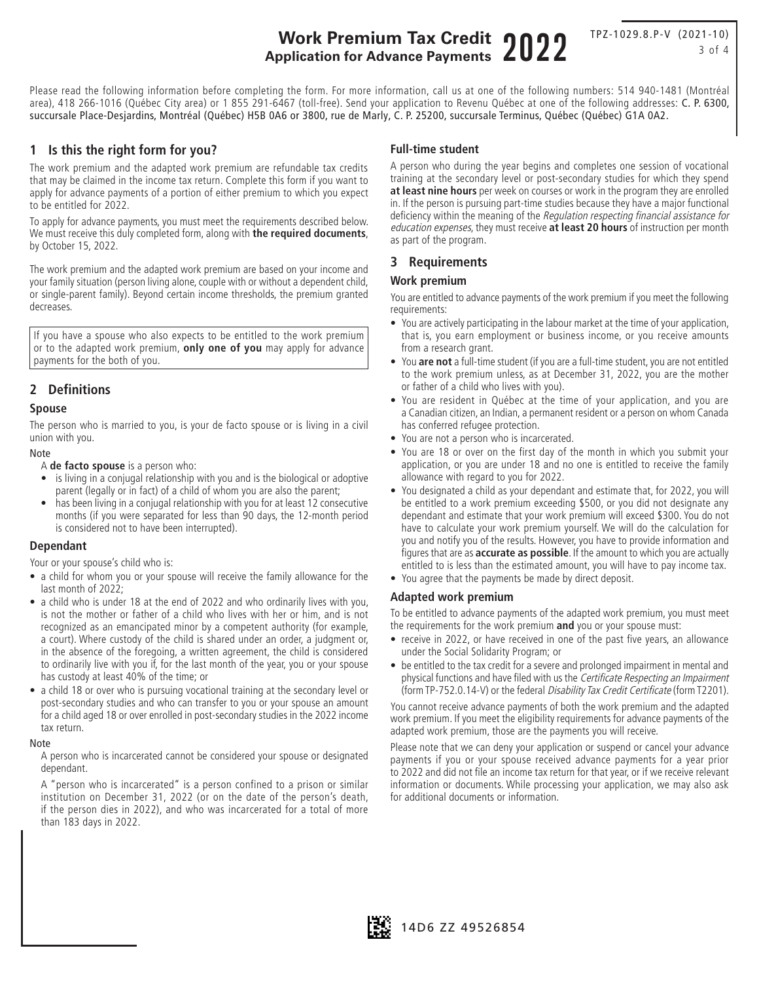# **Work Premium Tax Credit Application for Advance Payments** 2022

TPZ-1029.8.P-V (2021-10) 3 of 4

Please read the following information before completing the form. For more information, call us at one of the following numbers: 514 940-1481 (Montréal area), 418 266-1016 (Québec City area) or 1 855 291-6467 (toll-free). Send your application to Revenu Québec at one of the following addresses: C. P. 6300, succursale Place-Desjardins, Montréal (Québec) H5B 0A6 or 3800, rue de Marly, C. P. 25200, succursale Terminus, Québec (Québec) G1A 0A2.

# **1 Is this the right form for you?**

The work premium and the adapted work premium are refundable tax credits that may be claimed in the income tax return. Complete this form if you want to apply for advance payments of a portion of either premium to which you expect to be entitled for 2022.

To apply for advance payments, you must meet the requirements described below. We must receive this duly completed form, along with **the required documents**, by October 15, 2022.

The work premium and the adapted work premium are based on your income and your family situation (person living alone, couple with or without a dependent child, or single-parent family). Beyond certain income thresholds, the premium granted decreases.

If you have a spouse who also expects to be entitled to the work premium or to the adapted work premium, **only one of you** may apply for advance payments for the both of you.

# **2 Definitions**

# **Spouse**

The person who is married to you, is your de facto spouse or is living in a civil union with you.

#### Note

A **de facto spouse** is a person who:

- is living in a conjugal relationship with you and is the biological or adoptive parent (legally or in fact) of a child of whom you are also the parent;
- has been living in a conjugal relationship with you for at least 12 consecutive months (if you were separated for less than 90 days, the 12-month period is considered not to have been interrupted).

#### **Dependant**

Your or your spouse's child who is:

- a child for whom you or your spouse will receive the family allowance for the last month of 2022;
- a child who is under 18 at the end of 2022 and who ordinarily lives with you, is not the mother or father of a child who lives with her or him, and is not recognized as an emancipated minor by a competent authority (for example, a court). Where custody of the child is shared under an order, a judgment or, in the absence of the foregoing, a written agreement, the child is considered to ordinarily live with you if, for the last month of the year, you or your spouse has custody at least 40% of the time; or
- a child 18 or over who is pursuing vocational training at the secondary level or post-secondary studies and who can transfer to you or your spouse an amount for a child aged 18 or over enrolled in post-secondary studies in the 2022 income tax return.

#### Note

A person who is incarcerated cannot be considered your spouse or designated dependant.

A "person who is incarcerated" is a person confined to a prison or similar institution on December 31, 2022 (or on the date of the person's death, if the person dies in 2022), and who was incarcerated for a total of more than 183 days in 2022.

#### **Full-time student**

A person who during the year begins and completes one session of vocational training at the secondary level or post-secondary studies for which they spend **at least nine hours** per week on courses or work in the program they are enrolled in. If the person is pursuing part-time studies because they have a major functional deficiency within the meaning of the Regulation respecting financial assistance for education expenses, they must receive **at least 20 hours** of instruction per month as part of the program.

# **3 Requirements**

# **Work premium**

You are entitled to advance payments of the work premium if you meet the following requirements:

- You are actively participating in the labour market at the time of your application, that is, you earn employment or business income, or you receive amounts from a research grant.
- You **are not** a full-time student (if you are a full-time student, you are not entitled to the work premium unless, as at December 31, 2022, you are the mother or father of a child who lives with you).
- You are resident in Québec at the time of your application, and you are a Canadian citizen, an Indian, a permanent resident or a person on whom Canada has conferred refugee protection.
- You are not a person who is incarcerated.
- You are 18 or over on the first day of the month in which you submit your application, or you are under 18 and no one is entitled to receive the family allowance with regard to you for 2022.
- You designated a child as your dependant and estimate that, for 2022, you will be entitled to a work premium exceeding \$500, or you did not designate any dependant and estimate that your work premium will exceed \$300. You do not have to calculate your work premium yourself. We will do the calculation for you and notify you of the results. However, you have to provide information and figures that are as **accurate as possible**. If the amount to which you are actually entitled to is less than the estimated amount, you will have to pay income tax.
- You agree that the payments be made by direct deposit.

#### **Adapted work premium**

To be entitled to advance payments of the adapted work premium, you must meet the requirements for the work premium **and** you or your spouse must:

- receive in 2022, or have received in one of the past five years, an allowance under the Social Solidarity Program; or
- be entitled to the tax credit for a severe and prolonged impairment in mental and physical functions and have filed with us the Certificate Respecting an Impairment (form TP-752.0.14-V) or the federal Disability Tax Credit Certificate (form T2201).

You cannot receive advance payments of both the work premium and the adapted work premium. If you meet the eligibility requirements for advance payments of the adapted work premium, those are the payments you will receive.

Please note that we can deny your application or suspend or cancel your advance payments if you or your spouse received advance payments for a year prior to 2022 and did not file an income tax return for that year, or if we receive relevant information or documents. While processing your application, we may also ask for additional documents or information.